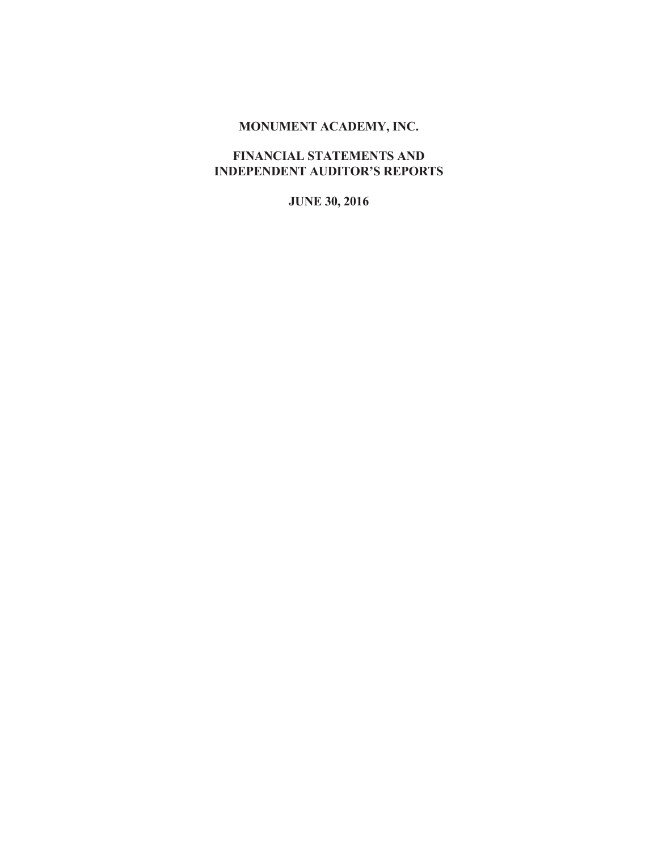# **MONUMENT ACADEMY, INC.**

# **FINANCIAL STATEMENTS AND INDEPENDENT AUDITOR'S REPORTS**

**JUNE 30, 2016**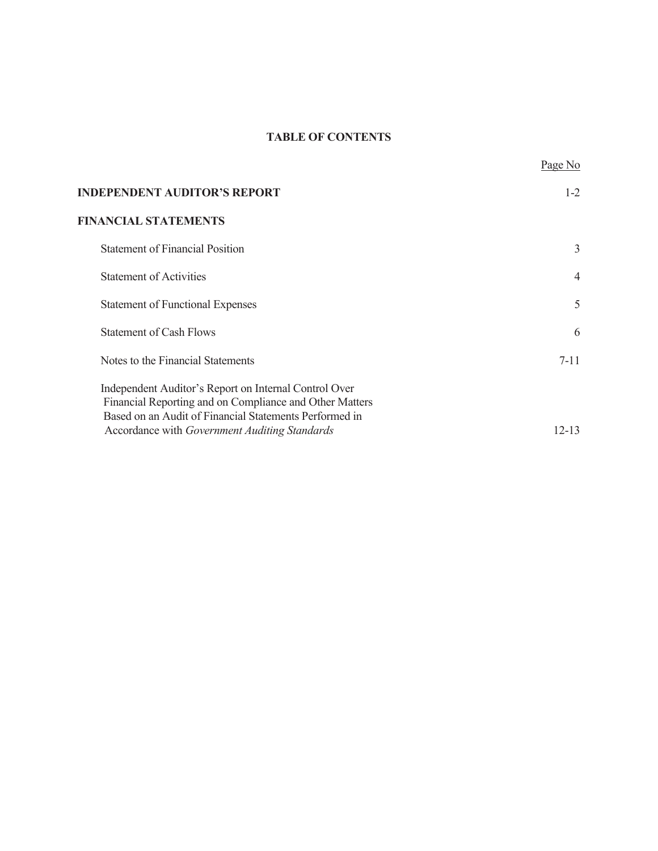## **TABLE OF CONTENTS**

| <b>INDEPENDENT AUDITOR'S REPORT</b>                                                                                                                                                                                         | $1 - 2$        |
|-----------------------------------------------------------------------------------------------------------------------------------------------------------------------------------------------------------------------------|----------------|
| <b>FINANCIAL STATEMENTS</b>                                                                                                                                                                                                 |                |
| <b>Statement of Financial Position</b>                                                                                                                                                                                      | 3              |
| <b>Statement of Activities</b>                                                                                                                                                                                              | $\overline{4}$ |
| <b>Statement of Functional Expenses</b>                                                                                                                                                                                     | 5              |
| <b>Statement of Cash Flows</b>                                                                                                                                                                                              | 6              |
| Notes to the Financial Statements                                                                                                                                                                                           | $7 - 11$       |
| Independent Auditor's Report on Internal Control Over<br>Financial Reporting and on Compliance and Other Matters<br>Based on an Audit of Financial Statements Performed in<br>Accordance with Government Auditing Standards | $12 - 13$      |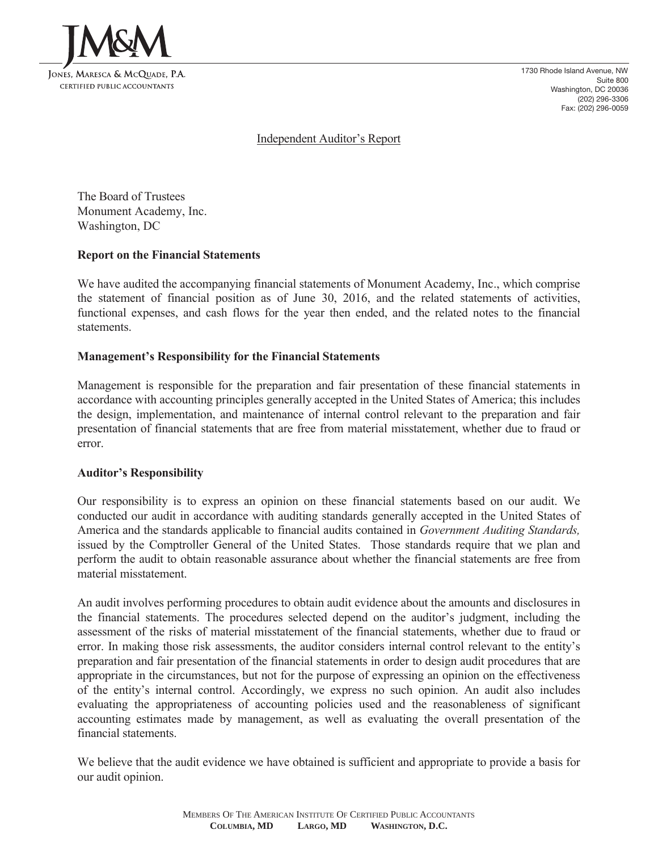

1730 Rhode Island Avenue, NW Suite 800 Washington, DC 20036 (202) 296-3306 Fax: (202) 296-0059

## Independent Auditor's Report

The Board of Trustees Monument Academy, Inc. Washington, DC

## **Report on the Financial Statements**

We have audited the accompanying financial statements of Monument Academy, Inc., which comprise the statement of financial position as of June 30, 2016, and the related statements of activities, functional expenses, and cash flows for the year then ended, and the related notes to the financial statements.

## **Management's Responsibility for the Financial Statements**

Management is responsible for the preparation and fair presentation of these financial statements in accordance with accounting principles generally accepted in the United States of America; this includes the design, implementation, and maintenance of internal control relevant to the preparation and fair presentation of financial statements that are free from material misstatement, whether due to fraud or error.

## **Auditor's Responsibility**

Our responsibility is to express an opinion on these financial statements based on our audit. We conducted our audit in accordance with auditing standards generally accepted in the United States of America and the standards applicable to financial audits contained in *Government Auditing Standards,* issued by the Comptroller General of the United States. Those standards require that we plan and perform the audit to obtain reasonable assurance about whether the financial statements are free from material misstatement.

An audit involves performing procedures to obtain audit evidence about the amounts and disclosures in the financial statements. The procedures selected depend on the auditor's judgment, including the assessment of the risks of material misstatement of the financial statements, whether due to fraud or error. In making those risk assessments, the auditor considers internal control relevant to the entity's preparation and fair presentation of the financial statements in order to design audit procedures that are appropriate in the circumstances, but not for the purpose of expressing an opinion on the effectiveness of the entity's internal control. Accordingly, we express no such opinion. An audit also includes evaluating the appropriateness of accounting policies used and the reasonableness of significant accounting estimates made by management, as well as evaluating the overall presentation of the financial statements.

We believe that the audit evidence we have obtained is sufficient and appropriate to provide a basis for our audit opinion.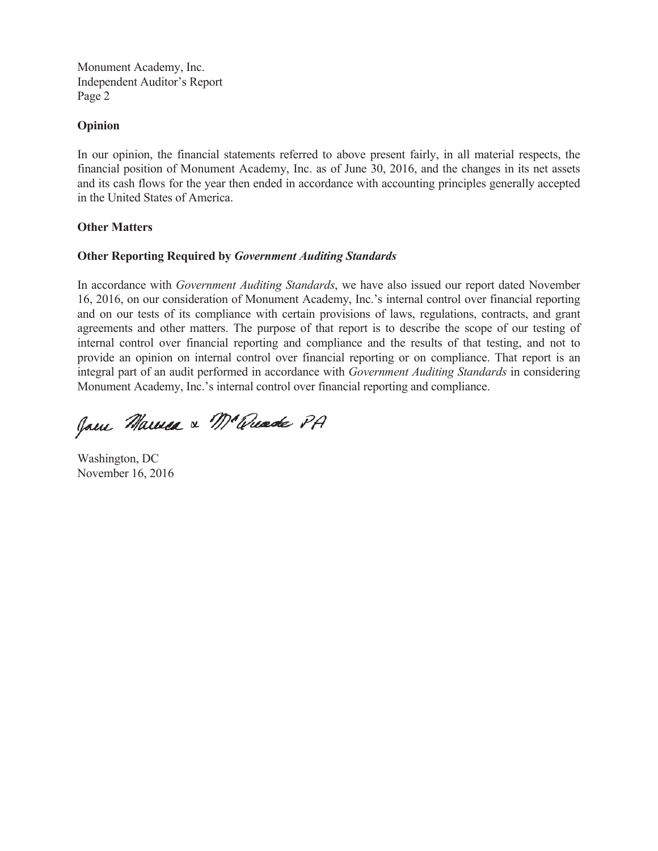Monument Academy, Inc. Independent Auditor's Report Page 2

## **Opinion**

In our opinion, the financial statements referred to above present fairly, in all material respects, the financial position of Monument Academy, Inc. as of June 30, 2016, and the changes in its net assets and its cash flows for the year then ended in accordance with accounting principles generally accepted in the United States of America.

## **Other Matters**

## **Other Reporting Required by** *Government Auditing Standards*

In accordance with *Government Auditing Standards*, we have also issued our report dated November 16, 2016, on our consideration of Monument Academy, Inc.'s internal control over financial reporting and on our tests of its compliance with certain provisions of laws, regulations, contracts, and grant agreements and other matters. The purpose of that report is to describe the scope of our testing of internal control over financial reporting and compliance and the results of that testing, and not to provide an opinion on internal control over financial reporting or on compliance. That report is an integral part of an audit performed in accordance with *Government Auditing Standards* in considering Monument Academy, Inc.'s internal control over financial reporting and compliance.

Jam Marine & Mc Quade PA

Washington, DC November 16, 2016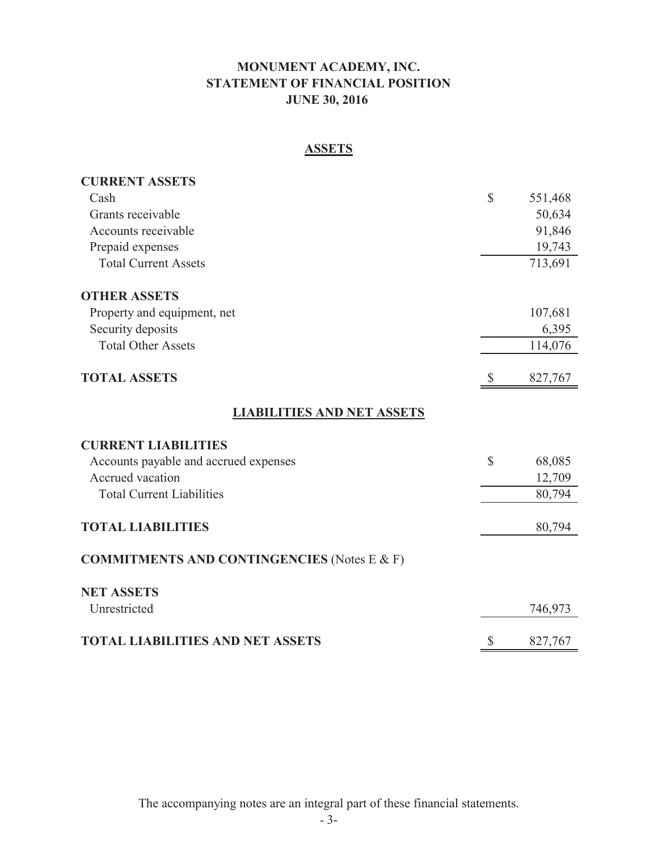# **MONUMENT ACADEMY, INC. STATEMENT OF FINANCIAL POSITION JUNE 30, 2016**

## **ASSETS**

| <b>CURRENT ASSETS</b>                              |               |         |
|----------------------------------------------------|---------------|---------|
| Cash                                               | \$            | 551,468 |
| Grants receivable                                  |               | 50,634  |
| Accounts receivable                                |               | 91,846  |
| Prepaid expenses                                   |               | 19,743  |
| <b>Total Current Assets</b>                        |               | 713,691 |
| <b>OTHER ASSETS</b>                                |               |         |
| Property and equipment, net                        |               | 107,681 |
| Security deposits                                  |               | 6,395   |
| <b>Total Other Assets</b>                          |               | 114,076 |
| <b>TOTAL ASSETS</b>                                | $\mathcal{S}$ | 827,767 |
| <b>LIABILITIES AND NET ASSETS</b>                  |               |         |
| <b>CURRENT LIABILITIES</b>                         |               |         |
| Accounts payable and accrued expenses              | $\mathbb{S}$  | 68,085  |
| Accrued vacation                                   |               | 12,709  |
| <b>Total Current Liabilities</b>                   |               | 80,794  |
| <b>TOTAL LIABILITIES</b>                           |               | 80,794  |
| <b>COMMITMENTS AND CONTINGENCIES</b> (Notes E & F) |               |         |
| <b>NET ASSETS</b>                                  |               |         |
| Unrestricted                                       |               | 746,973 |
| <b>TOTAL LIABILITIES AND NET ASSETS</b>            | \$            | 827,767 |

The accompanying notes are an integral part of these financial statements.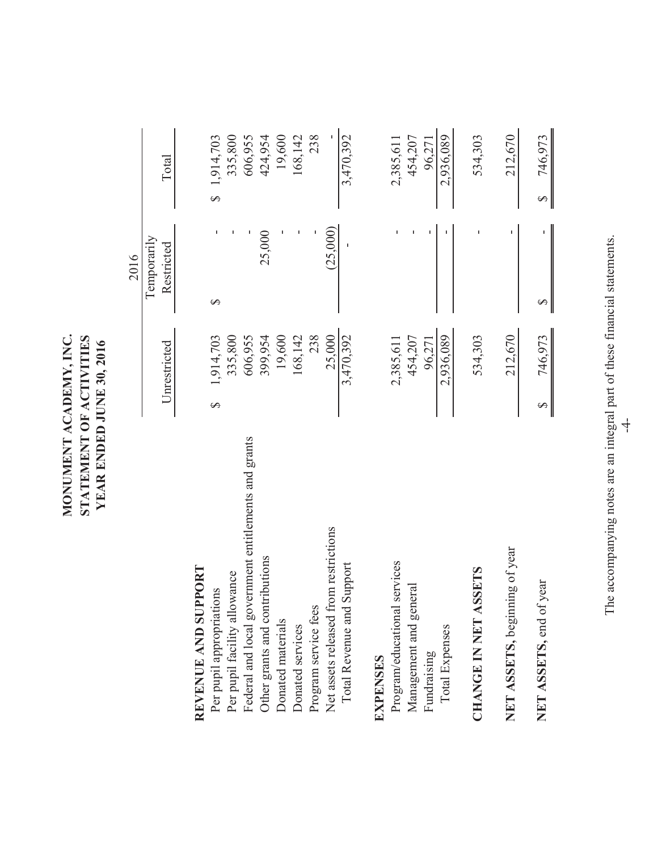| MONUMENT ACADEMY, INC. | STATEMENT OF ACTIVITIES | YEAR ENDED JUNE 30, 2016 |
|------------------------|-------------------------|--------------------------|
|                        |                         |                          |

|                                                      |                | 2016                      |                              |
|------------------------------------------------------|----------------|---------------------------|------------------------------|
|                                                      | Unrestricted   | Temporarily<br>Restricted | Total                        |
| PPORT<br>REVENUE AND SU                              |                |                           |                              |
| Per pupil appropriations                             | 1,914,703<br>S | ∽                         | 1,914,703<br>$\Theta$        |
| Per pupil facility allowance                         | 335,800        |                           | 335,800                      |
| Federal and local government entitlements and grants | 606,955        |                           | 606,955                      |
| Other grants and contributions                       | 399,954        | 25,000                    | 424,954                      |
| Donated materials                                    | 19,600         |                           | 19,600                       |
| Donated services                                     | 168,142        |                           | 168,142                      |
| Program service fees                                 | 238            |                           | 238                          |
| Net assets released from restrictions                | 25,000         | (25,000)                  |                              |
| Support<br><b>Total Revenue and</b>                  | 3,470,392      |                           | 3,470,392                    |
| <b>EXPENSES</b>                                      |                |                           |                              |
| services<br>Program/educational                      | 2,385,611      |                           | 2,385,611                    |
| Management and general                               | 454,207        |                           | 454,207                      |
| Fundraising                                          | 96,271         |                           | 96,271                       |
| Total Expenses                                       | 2,936,089      |                           | 2,936,089                    |
| SETS<br>CHANGE IN NET A                              | 534,303        |                           | 534,303                      |
| NET ASSETS, beginning of year                        | 212,670        |                           | 212,670                      |
| year<br>NET ASSETS, end of                           | 746,973        |                           | 746,973<br>$\leftrightarrow$ |

The accompanying notes are an integral part of these financial statements. The accompanying notes are an integral part of these financial statements.<br>-4-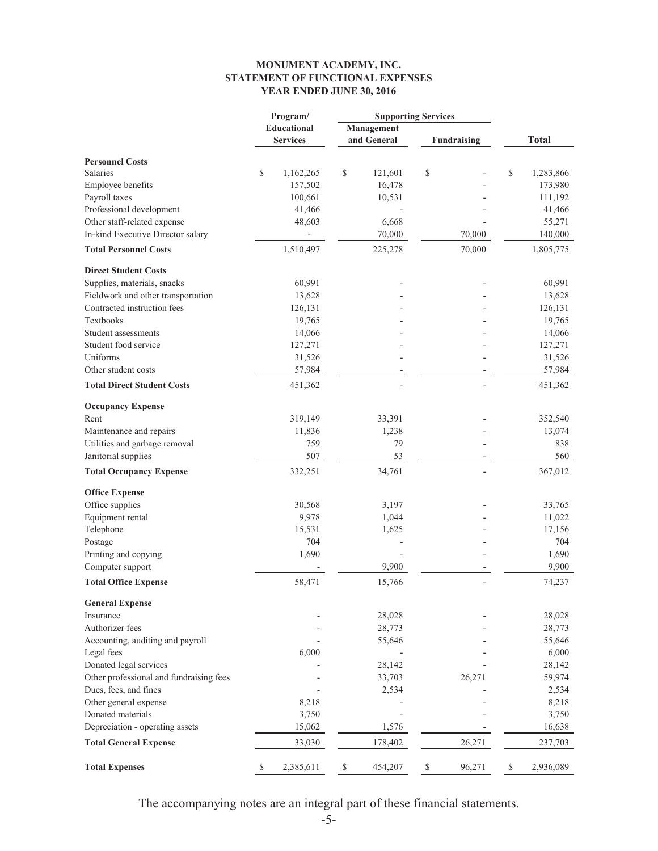#### **MONUMENT ACADEMY, INC. STATEMENT OF FUNCTIONAL EXPENSES YEAR ENDED JUNE 30, 2016**

|                                         | Program/           |              | <b>Supporting Services</b> |              |             |                 |
|-----------------------------------------|--------------------|--------------|----------------------------|--------------|-------------|-----------------|
|                                         | <b>Educational</b> |              | Management                 |              |             |                 |
|                                         | <b>Services</b>    |              | and General                |              | Fundraising | <b>Total</b>    |
| <b>Personnel Costs</b>                  |                    |              |                            |              |             |                 |
| Salaries                                | \$<br>1,162,265    | $\mathbb{S}$ | 121,601                    | \$           |             | \$<br>1,283,866 |
| <b>Employee benefits</b>                | 157,502            |              | 16,478                     |              |             | 173,980         |
| Payroll taxes                           | 100,661            |              | 10,531                     |              |             | 111,192         |
| Professional development                | 41,466             |              |                            |              |             | 41,466          |
| Other staff-related expense             | 48,603             |              | 6,668                      |              |             | 55,271          |
| In-kind Executive Director salary       |                    |              | 70,000                     |              | 70,000      | 140,000         |
| <b>Total Personnel Costs</b>            | 1,510,497          |              | 225,278                    |              | 70,000      | 1,805,775       |
| <b>Direct Student Costs</b>             |                    |              |                            |              |             |                 |
| Supplies, materials, snacks             | 60,991             |              |                            |              |             | 60,991          |
| Fieldwork and other transportation      | 13,628             |              |                            |              |             | 13,628          |
| Contracted instruction fees             | 126,131            |              |                            |              |             | 126,131         |
| Textbooks                               | 19,765             |              |                            |              |             | 19,765          |
| Student assessments                     | 14,066             |              |                            |              |             | 14,066          |
| Student food service                    | 127,271            |              |                            |              |             | 127,271         |
| Uniforms                                | 31,526             |              |                            |              |             | 31,526          |
| Other student costs                     | 57,984             |              |                            |              |             | 57,984          |
| <b>Total Direct Student Costs</b>       | 451,362            |              |                            |              |             | 451,362         |
| <b>Occupancy Expense</b>                |                    |              |                            |              |             |                 |
| Rent                                    | 319,149            |              | 33,391                     |              |             | 352,540         |
| Maintenance and repairs                 | 11,836             |              | 1,238                      |              |             | 13,074          |
| Utilities and garbage removal           | 759                |              | 79                         |              |             | 838             |
| Janitorial supplies                     | 507                |              | 53                         |              |             | 560             |
| <b>Total Occupancy Expense</b>          | 332,251            |              | 34,761                     |              |             | 367,012         |
| <b>Office Expense</b>                   |                    |              |                            |              |             |                 |
| Office supplies                         | 30,568             |              | 3,197                      |              |             | 33,765          |
| Equipment rental                        | 9,978              |              | 1,044                      |              |             | 11,022          |
| Telephone                               | 15,531             |              | 1,625                      |              |             | 17,156          |
| Postage                                 | 704                |              |                            |              |             | 704             |
| Printing and copying                    | 1,690              |              |                            |              |             | 1,690           |
| Computer support                        |                    |              | 9,900                      |              |             | 9,900           |
| <b>Total Office Expense</b>             | 58,471             |              | 15,766                     |              |             | 74,237          |
| <b>General Expense</b>                  |                    |              |                            |              |             |                 |
| Insurance                               |                    |              | 28,028                     |              |             | 28,028          |
| Authorizer fees                         |                    |              | 28,773                     |              |             | 28,773          |
| Accounting, auditing and payroll        |                    |              | 55,646                     |              |             | 55,646          |
| Legal fees                              | 6,000              |              |                            |              |             | 6,000           |
| Donated legal services                  |                    |              | 28,142                     |              |             | 28,142          |
| Other professional and fundraising fees |                    |              | 33,703                     |              | 26,271      | 59,974          |
| Dues, fees, and fines                   |                    |              | 2,534                      |              |             | 2,534           |
| Other general expense                   | 8,218              |              |                            |              |             | 8,218           |
| Donated materials                       | 3,750              |              |                            |              |             | 3,750           |
| Depreciation - operating assets         | 15,062             |              | 1,576                      |              |             | 16,638          |
| <b>Total General Expense</b>            | 33,030             |              | 178,402                    |              | 26,271      | 237,703         |
| <b>Total Expenses</b>                   | \$<br>2,385,611    | \$           | 454,207                    | $\mathbb{S}$ | 96,271      | \$<br>2,936,089 |

The accompanying notes are an integral part of these financial statements.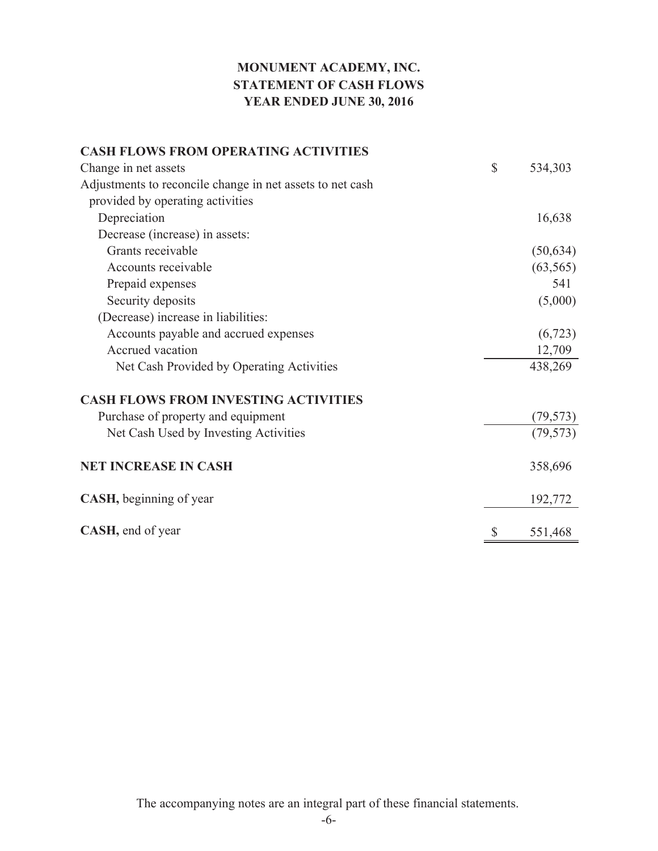# **MONUMENT ACADEMY, INC. STATEMENT OF CASH FLOWS YEAR ENDED JUNE 30, 2016**

## **CASH FLOWS FROM OPERATING ACTIVITIES**

| Change in net assets                                      | $\mathcal{S}$ | 534,303   |
|-----------------------------------------------------------|---------------|-----------|
| Adjustments to reconcile change in net assets to net cash |               |           |
| provided by operating activities                          |               |           |
| Depreciation                                              |               | 16,638    |
| Decrease (increase) in assets:                            |               |           |
| Grants receivable                                         |               | (50, 634) |
| Accounts receivable                                       |               | (63, 565) |
| Prepaid expenses                                          |               | 541       |
| Security deposits                                         |               | (5,000)   |
| (Decrease) increase in liabilities:                       |               |           |
| Accounts payable and accrued expenses                     |               | (6, 723)  |
| Accrued vacation                                          |               | 12,709    |
| Net Cash Provided by Operating Activities                 |               | 438,269   |
| <b>CASH FLOWS FROM INVESTING ACTIVITIES</b>               |               |           |
| Purchase of property and equipment                        |               | (79, 573) |
| Net Cash Used by Investing Activities                     |               | (79, 573) |
| <b>NET INCREASE IN CASH</b>                               |               | 358,696   |
| <b>CASH</b> , beginning of year                           |               | 192,772   |
| <b>CASH</b> , end of year                                 | \$            | 551,468   |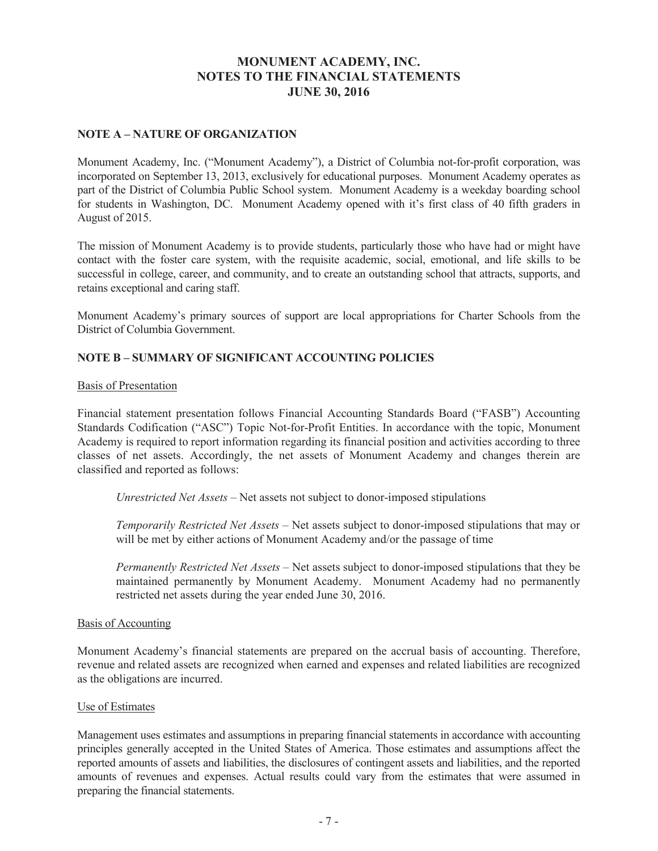## **MONUMENT ACADEMY, INC. NOTES TO THE FINANCIAL STATEMENTS JUNE 30, 2016**

## **NOTE A – NATURE OF ORGANIZATION**

Monument Academy, Inc. ("Monument Academy"), a District of Columbia not-for-profit corporation, was incorporated on September 13, 2013, exclusively for educational purposes. Monument Academy operates as part of the District of Columbia Public School system. Monument Academy is a weekday boarding school for students in Washington, DC. Monument Academy opened with it's first class of 40 fifth graders in August of 2015.

The mission of Monument Academy is to provide students, particularly those who have had or might have contact with the foster care system, with the requisite academic, social, emotional, and life skills to be successful in college, career, and community, and to create an outstanding school that attracts, supports, and retains exceptional and caring staff.

Monument Academy's primary sources of support are local appropriations for Charter Schools from the District of Columbia Government.

## **NOTE B – SUMMARY OF SIGNIFICANT ACCOUNTING POLICIES**

#### Basis of Presentation

Financial statement presentation follows Financial Accounting Standards Board ("FASB") Accounting Standards Codification ("ASC") Topic Not-for-Profit Entities. In accordance with the topic, Monument Academy is required to report information regarding its financial position and activities according to three classes of net assets. Accordingly, the net assets of Monument Academy and changes therein are classified and reported as follows:

*Unrestricted Net Assets* – Net assets not subject to donor-imposed stipulations

*Temporarily Restricted Net Assets* – Net assets subject to donor-imposed stipulations that may or will be met by either actions of Monument Academy and/or the passage of time

*Permanently Restricted Net Assets* – Net assets subject to donor-imposed stipulations that they be maintained permanently by Monument Academy. Monument Academy had no permanently restricted net assets during the year ended June 30, 2016.

#### Basis of Accounting

Monument Academy's financial statements are prepared on the accrual basis of accounting. Therefore, revenue and related assets are recognized when earned and expenses and related liabilities are recognized as the obligations are incurred.

#### Use of Estimates

Management uses estimates and assumptions in preparing financial statements in accordance with accounting principles generally accepted in the United States of America. Those estimates and assumptions affect the reported amounts of assets and liabilities, the disclosures of contingent assets and liabilities, and the reported amounts of revenues and expenses. Actual results could vary from the estimates that were assumed in preparing the financial statements.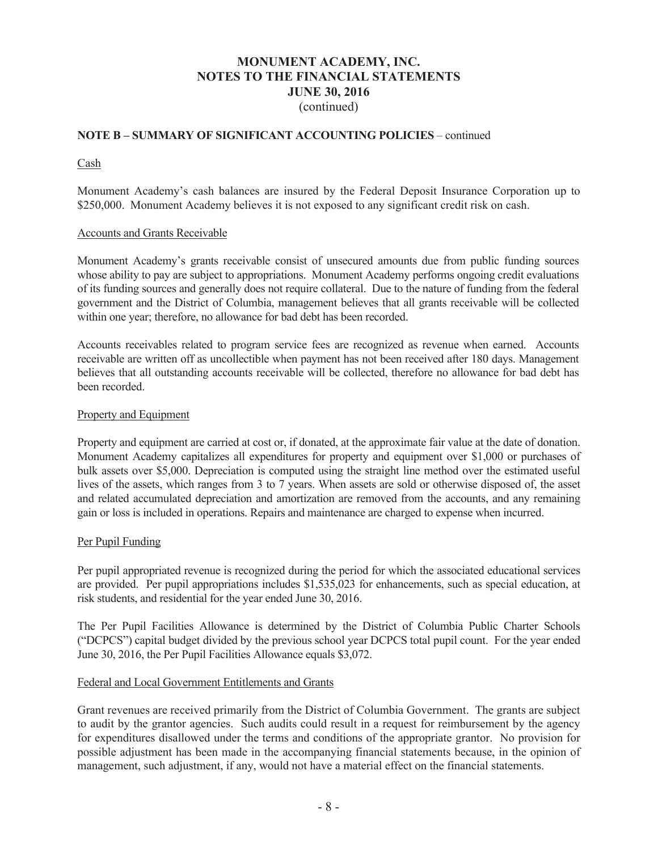## **MONUMENT ACADEMY, INC. NOTES TO THE FINANCIAL STATEMENTS JUNE 30, 2016** (continued)

## **NOTE B – SUMMARY OF SIGNIFICANT ACCOUNTING POLICIES** – continued

#### Cash

Monument Academy's cash balances are insured by the Federal Deposit Insurance Corporation up to \$250,000. Monument Academy believes it is not exposed to any significant credit risk on cash.

#### Accounts and Grants Receivable

Monument Academy's grants receivable consist of unsecured amounts due from public funding sources whose ability to pay are subject to appropriations. Monument Academy performs ongoing credit evaluations of its funding sources and generally does not require collateral. Due to the nature of funding from the federal government and the District of Columbia, management believes that all grants receivable will be collected within one year; therefore, no allowance for bad debt has been recorded.

Accounts receivables related to program service fees are recognized as revenue when earned. Accounts receivable are written off as uncollectible when payment has not been received after 180 days. Management believes that all outstanding accounts receivable will be collected, therefore no allowance for bad debt has been recorded.

#### Property and Equipment

Property and equipment are carried at cost or, if donated, at the approximate fair value at the date of donation. Monument Academy capitalizes all expenditures for property and equipment over \$1,000 or purchases of bulk assets over \$5,000. Depreciation is computed using the straight line method over the estimated useful lives of the assets, which ranges from 3 to 7 years. When assets are sold or otherwise disposed of, the asset and related accumulated depreciation and amortization are removed from the accounts, and any remaining gain or loss is included in operations. Repairs and maintenance are charged to expense when incurred.

#### Per Pupil Funding

Per pupil appropriated revenue is recognized during the period for which the associated educational services are provided. Per pupil appropriations includes \$1,535,023 for enhancements, such as special education, at risk students, and residential for the year ended June 30, 2016.

The Per Pupil Facilities Allowance is determined by the District of Columbia Public Charter Schools ("DCPCS") capital budget divided by the previous school year DCPCS total pupil count. For the year ended June 30, 2016, the Per Pupil Facilities Allowance equals \$3,072.

#### Federal and Local Government Entitlements and Grants

Grant revenues are received primarily from the District of Columbia Government. The grants are subject to audit by the grantor agencies. Such audits could result in a request for reimbursement by the agency for expenditures disallowed under the terms and conditions of the appropriate grantor. No provision for possible adjustment has been made in the accompanying financial statements because, in the opinion of management, such adjustment, if any, would not have a material effect on the financial statements.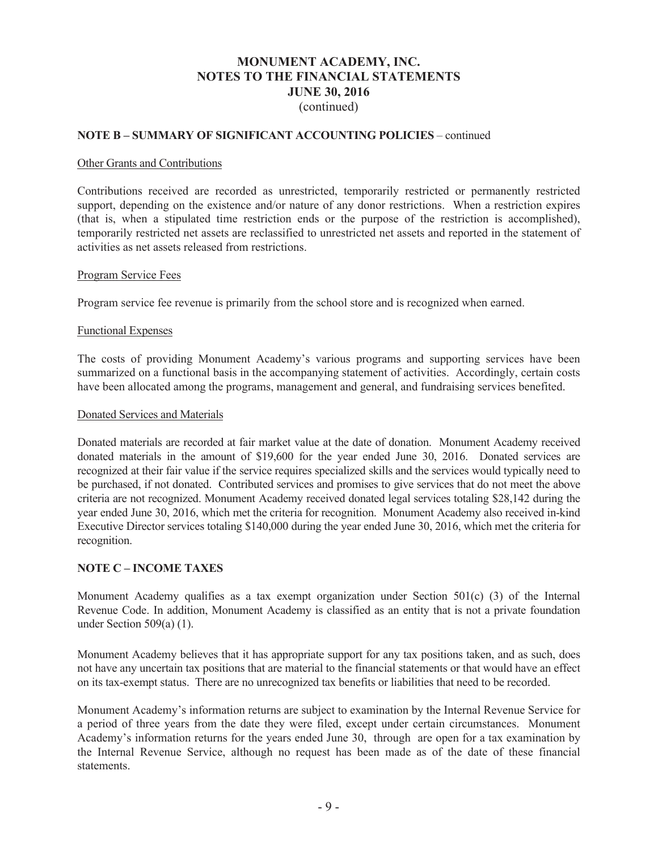## **MONUMENT ACADEMY, INC. NOTES TO THE FINANCIAL STATEMENTS JUNE 30, 2016** (continued)

## **NOTE B – SUMMARY OF SIGNIFICANT ACCOUNTING POLICIES** – continued

#### Other Grants and Contributions

Contributions received are recorded as unrestricted, temporarily restricted or permanently restricted support, depending on the existence and/or nature of any donor restrictions. When a restriction expires (that is, when a stipulated time restriction ends or the purpose of the restriction is accomplished), temporarily restricted net assets are reclassified to unrestricted net assets and reported in the statement of activities as net assets released from restrictions.

#### Program Service Fees

Program service fee revenue is primarily from the school store and is recognized when earned.

#### Functional Expenses

The costs of providing Monument Academy's various programs and supporting services have been summarized on a functional basis in the accompanying statement of activities. Accordingly, certain costs have been allocated among the programs, management and general, and fundraising services benefited.

#### Donated Services and Materials

Donated materials are recorded at fair market value at the date of donation. Monument Academy received donated materials in the amount of \$19,600 for the year ended June 30, 2016. Donated services are recognized at their fair value if the service requires specialized skills and the services would typically need to be purchased, if not donated. Contributed services and promises to give services that do not meet the above criteria are not recognized. Monument Academy received donated legal services totaling \$28,142 during the year ended June 30, 2016, which met the criteria for recognition. Monument Academy also received in-kind Executive Director services totaling \$140,000 during the year ended June 30, 2016, which met the criteria for recognition.

## **NOTE C – INCOME TAXES**

Monument Academy qualifies as a tax exempt organization under Section 501(c) (3) of the Internal Revenue Code. In addition, Monument Academy is classified as an entity that is not a private foundation under Section 509(a) (1).

Monument Academy believes that it has appropriate support for any tax positions taken, and as such, does not have any uncertain tax positions that are material to the financial statements or that would have an effect on its tax-exempt status. There are no unrecognized tax benefits or liabilities that need to be recorded.

Monument Academy's information returns are subject to examination by the Internal Revenue Service for a period of three years from the date they were filed, except under certain circumstances. Monument Academy's information returns for the years ended June 30, through are open for a tax examination by the Internal Revenue Service, although no request has been made as of the date of these financial statements.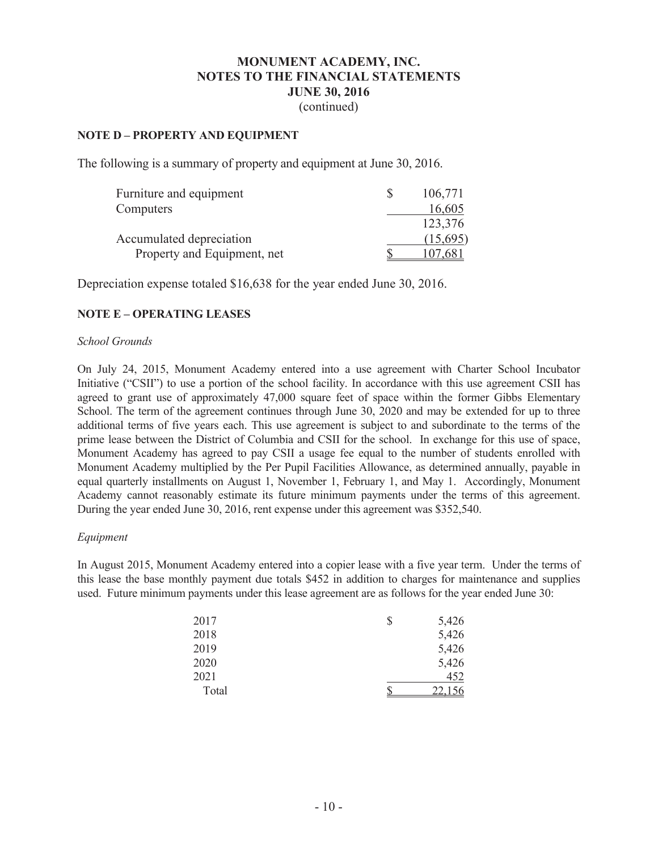## **MONUMENT ACADEMY, INC. NOTES TO THE FINANCIAL STATEMENTS JUNE 30, 2016** (continued)

## **NOTE D – PROPERTY AND EQUIPMENT**

The following is a summary of property and equipment at June 30, 2016.

| Furniture and equipment     | 106,771  |
|-----------------------------|----------|
| Computers                   | 16,605   |
|                             | 123,376  |
| Accumulated depreciation    | (15,695) |
| Property and Equipment, net | 107.681  |

Depreciation expense totaled \$16,638 for the year ended June 30, 2016.

## **NOTE E – OPERATING LEASES**

#### *School Grounds*

On July 24, 2015, Monument Academy entered into a use agreement with Charter School Incubator Initiative ("CSII") to use a portion of the school facility. In accordance with this use agreement CSII has agreed to grant use of approximately 47,000 square feet of space within the former Gibbs Elementary School. The term of the agreement continues through June 30, 2020 and may be extended for up to three additional terms of five years each. This use agreement is subject to and subordinate to the terms of the prime lease between the District of Columbia and CSII for the school. In exchange for this use of space, Monument Academy has agreed to pay CSII a usage fee equal to the number of students enrolled with Monument Academy multiplied by the Per Pupil Facilities Allowance, as determined annually, payable in equal quarterly installments on August 1, November 1, February 1, and May 1. Accordingly, Monument Academy cannot reasonably estimate its future minimum payments under the terms of this agreement. During the year ended June 30, 2016, rent expense under this agreement was \$352,540.

#### *Equipment*

In August 2015, Monument Academy entered into a copier lease with a five year term. Under the terms of this lease the base monthly payment due totals \$452 in addition to charges for maintenance and supplies used. Future minimum payments under this lease agreement are as follows for the year ended June 30:

| 2017  | \$<br>5,426 |
|-------|-------------|
| 2018  | 5,426       |
| 2019  | 5,426       |
| 2020  | 5,426       |
| 2021  | 452         |
| Total | 22,156      |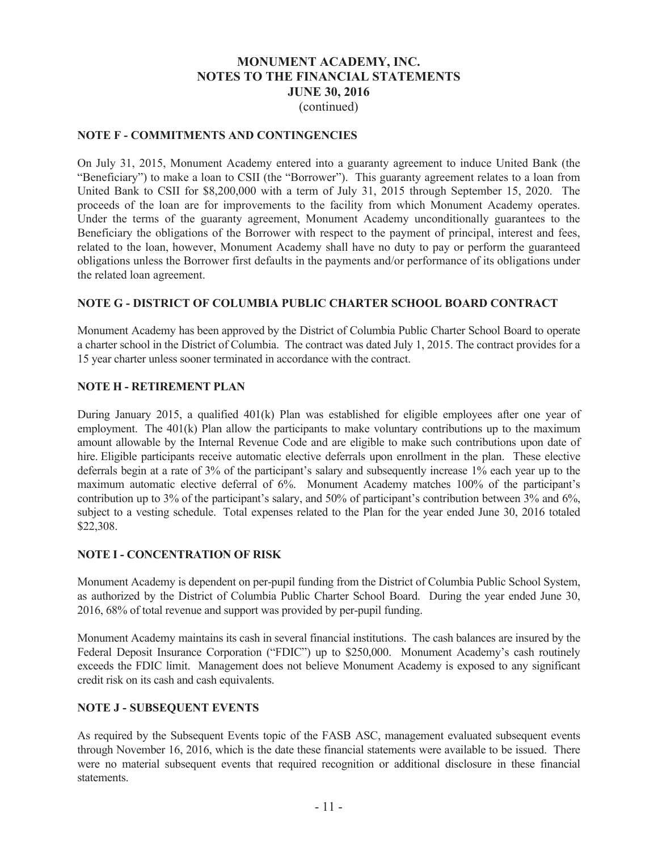# **MONUMENT ACADEMY, INC. NOTES TO THE FINANCIAL STATEMENTS JUNE 30, 2016**

(continued)

## **NOTE F - COMMITMENTS AND CONTINGENCIES**

On July 31, 2015, Monument Academy entered into a guaranty agreement to induce United Bank (the "Beneficiary") to make a loan to CSII (the "Borrower"). This guaranty agreement relates to a loan from United Bank to CSII for \$8,200,000 with a term of July 31, 2015 through September 15, 2020. The proceeds of the loan are for improvements to the facility from which Monument Academy operates. Under the terms of the guaranty agreement, Monument Academy unconditionally guarantees to the Beneficiary the obligations of the Borrower with respect to the payment of principal, interest and fees, related to the loan, however, Monument Academy shall have no duty to pay or perform the guaranteed obligations unless the Borrower first defaults in the payments and/or performance of its obligations under the related loan agreement.

## **NOTE G - DISTRICT OF COLUMBIA PUBLIC CHARTER SCHOOL BOARD CONTRACT**

Monument Academy has been approved by the District of Columbia Public Charter School Board to operate a charter school in the District of Columbia. The contract was dated July 1, 2015. The contract provides for a 15 year charter unless sooner terminated in accordance with the contract.

## **NOTE H - RETIREMENT PLAN**

During January 2015, a qualified 401(k) Plan was established for eligible employees after one year of employment. The 401(k) Plan allow the participants to make voluntary contributions up to the maximum amount allowable by the Internal Revenue Code and are eligible to make such contributions upon date of hire. Eligible participants receive automatic elective deferrals upon enrollment in the plan. These elective deferrals begin at a rate of 3% of the participant's salary and subsequently increase 1% each year up to the maximum automatic elective deferral of 6%. Monument Academy matches 100% of the participant's contribution up to 3% of the participant's salary, and 50% of participant's contribution between 3% and 6%, subject to a vesting schedule. Total expenses related to the Plan for the year ended June 30, 2016 totaled \$22,308.

## **NOTE I - CONCENTRATION OF RISK**

Monument Academy is dependent on per-pupil funding from the District of Columbia Public School System, as authorized by the District of Columbia Public Charter School Board. During the year ended June 30, 2016, 68% of total revenue and support was provided by per-pupil funding.

Monument Academy maintains its cash in several financial institutions. The cash balances are insured by the Federal Deposit Insurance Corporation ("FDIC") up to \$250,000. Monument Academy's cash routinely exceeds the FDIC limit. Management does not believe Monument Academy is exposed to any significant credit risk on its cash and cash equivalents.

## **NOTE J - SUBSEQUENT EVENTS**

As required by the Subsequent Events topic of the FASB ASC, management evaluated subsequent events through November 16, 2016, which is the date these financial statements were available to be issued. There were no material subsequent events that required recognition or additional disclosure in these financial statements.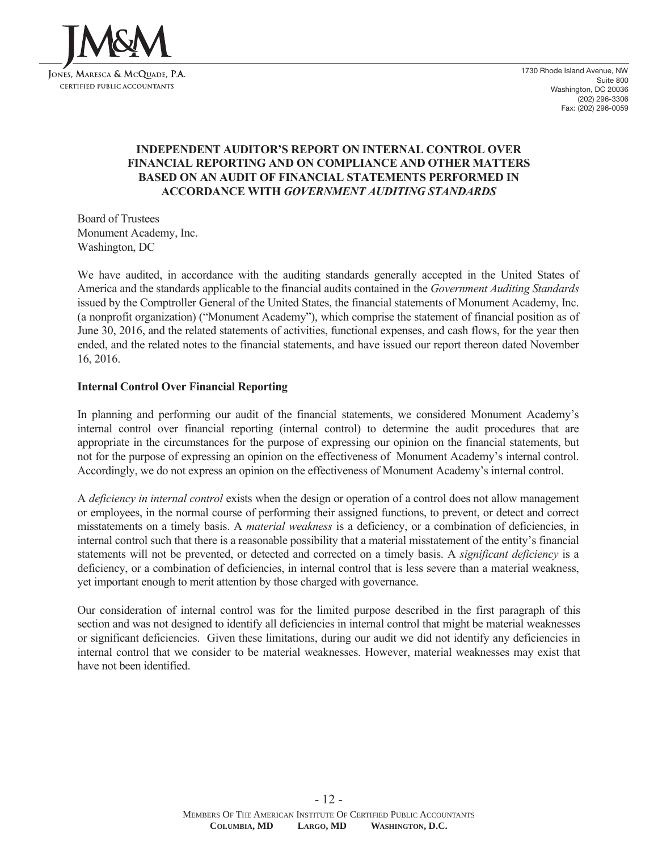

1730 Rhode Island Avenue, NW Suite 800 Washington, DC 20036 (202) 296-3306 Fax: (202) 296-0059

## **INDEPENDENT AUDITOR'S REPORT ON INTERNAL CONTROL OVER FINANCIAL REPORTING AND ON COMPLIANCE AND OTHER MATTERS BASED ON AN AUDIT OF FINANCIAL STATEMENTS PERFORMED IN ACCORDANCE WITH** *GOVERNMENT AUDITING STANDARDS*

Board of Trustees Monument Academy, Inc. Washington, DC

We have audited, in accordance with the auditing standards generally accepted in the United States of America and the standards applicable to the financial audits contained in the *Government Auditing Standards* issued by the Comptroller General of the United States, the financial statements of Monument Academy, Inc. (a nonprofit organization) ("Monument Academy"), which comprise the statement of financial position as of June 30, 2016, and the related statements of activities, functional expenses, and cash flows, for the year then ended, and the related notes to the financial statements, and have issued our report thereon dated November 16, 2016.

## **Internal Control Over Financial Reporting**

In planning and performing our audit of the financial statements, we considered Monument Academy's internal control over financial reporting (internal control) to determine the audit procedures that are appropriate in the circumstances for the purpose of expressing our opinion on the financial statements, but not for the purpose of expressing an opinion on the effectiveness of Monument Academy's internal control. Accordingly, we do not express an opinion on the effectiveness of Monument Academy's internal control.

A *deficiency in internal control* exists when the design or operation of a control does not allow management or employees, in the normal course of performing their assigned functions, to prevent, or detect and correct misstatements on a timely basis. A *material weakness* is a deficiency, or a combination of deficiencies, in internal control such that there is a reasonable possibility that a material misstatement of the entity's financial statements will not be prevented, or detected and corrected on a timely basis. A *significant deficiency* is a deficiency, or a combination of deficiencies, in internal control that is less severe than a material weakness, yet important enough to merit attention by those charged with governance.

Our consideration of internal control was for the limited purpose described in the first paragraph of this section and was not designed to identify all deficiencies in internal control that might be material weaknesses or significant deficiencies. Given these limitations, during our audit we did not identify any deficiencies in internal control that we consider to be material weaknesses. However, material weaknesses may exist that have not been identified.